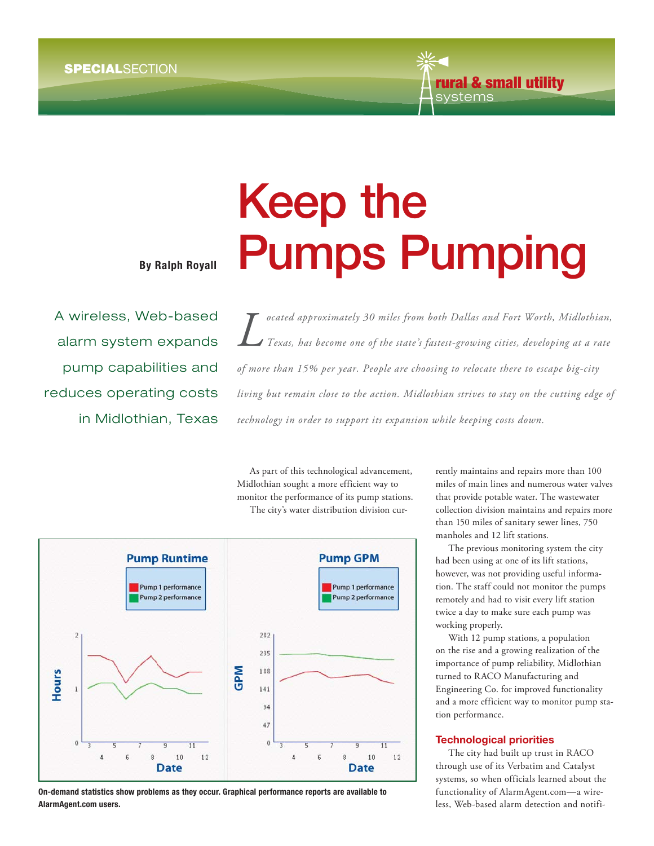

**By Ralph Royall**

A wireless, Web-based alarm system expands pump capabilities and reduces operating costs in Midlothian, Texas **Keep the<br>Pumps Pumping** 

*Cocated approximately 30 miles from both Dallas and Fort Worth, Midlothian,*<br>Texas, has become one of the state's fastest-growing cities, developing at a rate *Texas, has become one of the state's fastest-growing cities, developing at a rate of more than 15% per year. People are choosing to relocate there to escape big-city living but remain close to the action. Midlothian strives to stay on the cutting edge of technology in order to support its expansion while keeping costs down.* ocated approximately 30 miles from both Dallas and Fort Worth, Midlothian,

As part of this technological advancement, Midlothian sought a more efficient way to monitor the performance of its pump stations. The city's water distribution division cur-



 **On-demand statistics show problems as they occur. Graphical performance reports are available to AlarmAgent.com users.**

rently maintains and repairs more than 100 miles of main lines and numerous water valves that provide potable water. The wastewater collection division maintains and repairs more than 150 miles of sanitary sewer lines, 750 manholes and 12 lift stations.

The previous monitoring system the city had been using at one of its lift stations, however, was not providing useful information. The staff could not monitor the pumps remotely and had to visit every lift station twice a day to make sure each pump was working properly.

With 12 pump stations, a population on the rise and a growing realization of the importance of pump reliability, Midlothian turned to RACO Manufacturing and Engineering Co. for improved functionality and a more efficient way to monitor pump station performance.

The city had built up trust in RACO through use of its Verbatim and Catalyst systems, so when officials learned about the functionality of AlarmAgent.com—a wireless, Web-based alarm detection and notifi-